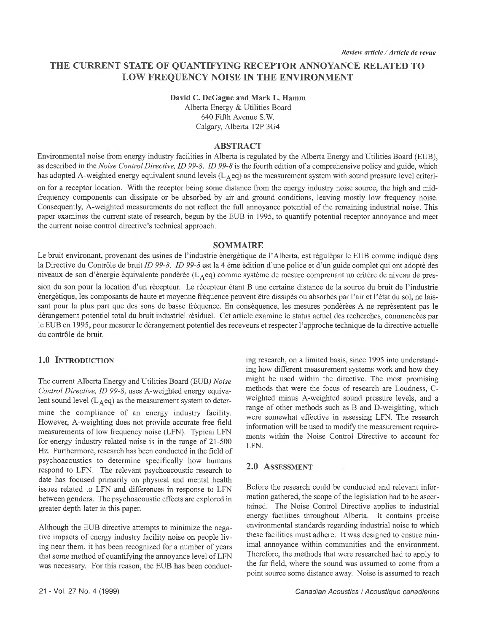# **THE CURRENT STATE OF QUANTIFYING RECEPTOR ANNOYANCE RELATED TO LOW FREQUENCY NOISE IN THE ENVIRONMENT**

# **David C. DeGagne and Mark L. Hamm**

Alberta Energy & Utilities Board 640 Fifth Avenue S.W. Calgary, Alberta T2P 3G4

#### **ABSTRACT**

Environmental noise from energy industry facilities in Alberta is regulated by the Alberta Energy and Utilities Board (EUB), as described in the *Noise Control Directive, ID 99-8. ID 99-8* is the fourth edition of a comprehensive policy and guide, which has adopted A-weighted energy equivalent sound levels ( $L_A$ eq) as the measurement system with sound pressure level criteri-

on for a receptor location. With the receptor being some distance from the energy industry noise source, the high and midfrequency components can dissipate or be absorbed by air and ground conditions, leaving mostly low frequency noise. Consequently, A-weighted measurements do not reflect the full annoyance potential of the remaining industrial noise. This paper examines the current state of research, begun by the EUB in 1995, to quantify potential receptor annoyance and meet the current noise control directive's technical approach.

#### **SOMMAIRE**

Le bruit environant, provenant des usines de l'industrie énergétique de 1'Alberta, est règulèpar le EUB comme indiqué dans la Directive du Contrôle de bruit *ID 99-8. ID 99-8* est la 4 éme édition d'une police et d'un guide complet qui ont adopté des niveaux de son d'ènergie èquivalente pondèrèe (L<sub>A</sub>eq) comme systéme de mesure comprenant un critére de niveau de pres-

sion du son pour la location d'un récepteur. Le récepteur étant B une certaine distance de la source du bruit de l'industrie énergétique, les composants de haute et moyenne fréquence peuvent être dissipés ou absorbés par l'air et l 'état du sol, ne laissant pour la plus part que des sons de basse fréquence. En conséquence, les mesures pondèrèes-A ne représentent pas le dérangement potentiel total du bruit industriel résiduel. Cet article examine le status actuel des recherches, commencées par le EUB en 1995, pour mesurer le dérangement potentiel des receveurs et respecter l'approche technique de la directive actuelle du contrôle de bruit.

### 1.0 INTRODUCTION

The current Alberta Energy and Utilities Board (EUB) *Noise Control Directive, ID 99-8,* uses A-weighted energy equivalent sound level  $(L_Aeq)$  as the measurement system to deter-

mine the compliance of an energy industry facility. However, A-weighting does not provide accurate free field measurements of low frequency noise (LFN). Typical LFN for energy industry related noise is in the range of 21-500 Hz. Furthermore, research has been conducted in the field of psychoacoustics to determine specifically how humans respond to LFN. The relevant psychoacoustic research to date has focused primarily on physical and mental health issues related to LFN and differences in response to LFN between genders. The psychoacoustic effects are explored in greater depth later in this paper.

Although the EUB directive attempts to minimize the negative impacts of energy industry facility noise on people living near them, it has been recognized for a number of years that some method of quantifying the annoyance level of LFN was necessary. For this reason, the EUB has been conducting research, on a limited basis, since 1995 into understanding how different measurement systems work and how they might be used within the directive. The most promising methods that were the focus of research are Loudness, Cweighted minus A-weighted sound pressure levels, and a range of other methods such as B and D-weighting, which were somewhat effective in assessing LFN. The research information will be used to modify the measurement requirements within the Noise Control Directive to account for LFN.

#### **2.0 ASSESSMENT**

Before the research could be conducted and relevant information gathered, the scope of the legislation had to be ascertained. The Noise Control Directive applies to industrial energy facilities throughout Alberta. It contains precise environmental standards regarding industrial noise to which these facilities must adhere. It was designed to ensure minimal annoyance within communities and the environment. Therefore, the methods that were researched had to apply to the far field, where the sound was assumed to come from a point source some distance away. Noise is assumed to reach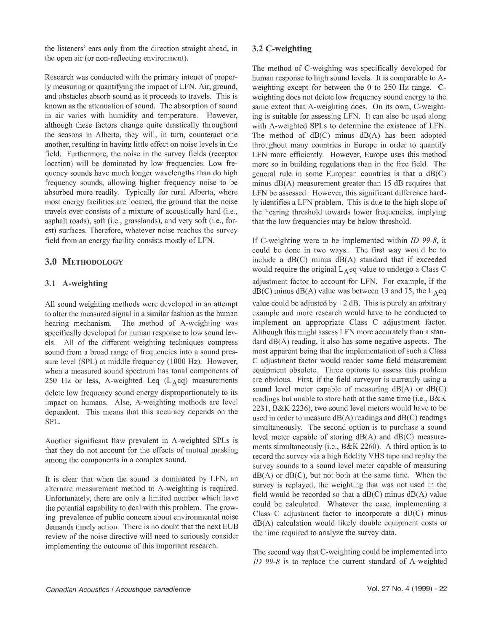the listeners' ears only from the direction straight ahead, in the open air (or non-reflecting environment).

Research was conducted with the primary intenet of properly measuring or quantifying the impact of LFN. Air, ground, and obstacles absorb sound as it proceeds to travels. This is known as the attenuation of sound. The absorption of sound in air varies with humidity and temperature. However, although these factors change quite drastically throughout the seasons in Alberta, they will, in turn, counteract one another, resulting in having little effect on noise levels in the field. Furthermore, the noise in the survey fields (receptor location) will be dominated by low frequencies. Low frequency sounds have much longer wavelengths than do high frequency sounds, allowing higher frequency noise to be absorbed more readily. Typically for rural Alberta, where most energy facilities are located, the ground that the noise travels over consists of a mixture of acoustically hard (i.e., asphalt roads), soft (i.e., grasslands), and very soft (i.e., forest) surfaces. Therefore, whatever noise reaches the survey field from an energy facility consists mostly of LFN.

## 3.0 METHODOLOGY

#### **3.1 A-weighting**

All sound weighting methods were developed in an attempt to alter the measured signal in a similar fashion as the human hearing mechanism. The method of A-weighting was specifically developed for human response to low sound levels. All of the different weighting techniques compress sound from a broad range of frequencies into a sound pressure level (SPL) at middle frequency (1000 Hz). However, when a measured sound spectrum has tonal components of 250 Hz or less, A-weighted Leq  $(L_A^e$ eq) measurements delete low frequency sound energy disproportionately to its impact on humans. Also, A-weighting methods are level dependent. This means that this accuracy depends on the SPL.

Another significant flaw prevalent in A-weighted SPLs is that they do not account for the effects of mutual masking among the components in a complex sound.

It is clear that when the sound is dominated by LFN, an alternate measurement method to A-weighting is required. Unfortunately, there are only a limited number which have the potential capability to deal with this problem. The growing prevalence of public concern about environmental noise demands timely action. There is no doubt that the next EUB review of the noise directive will need to seriously consider implementing the outcome of this important research.

#### **3.2 C-weighting**

The method of C-weighing was specifically developed for human response to high sound levels. It is comparable to Aweighting except for between the 0 to 250 Hz range. Cweighting does not delete low frequency sound energy to the same extent that A-weighting does. On its own, C-weighting is suitable for assessing LFN. It can also be used along with A-weighted SPLs to determine the existence of LFN. The method of dB(C) minus dB(A) has been adopted throughout many countries in Europe in order to quantify LFN more efficiently. However, Europe uses this method more so in building regulations than in the free field. The general rule in some European countries is that a  $dB(C)$ minus dB(A) measurement greater than 15 dB requires that LFN be assessed. However, this significant difference hardly identifies a LFN problem. This is due to the high slope of the hearing threshold towards lower frequencies, implying that the low frequencies may be below threshold.

If C-weighting were to be implemented within *ID 99-8,* it could be done in two ways. The first way would be to include a  $dB(C)$  minus  $dB(A)$  standard that if exceeded would require the original  $L_A$ eq value to undergo a Class C adjustment factor to account for LFN. For example, if the  $dB(C)$  minus dB(A) value was between 13 and 15, the L<sub>A</sub>eq value could be adjusted by  $+2$  dB. This is purely an arbitrary example and more research would have to be conducted to implement an appropriate Class C adjustment factor. Although this might assess LFN more accurately than a standard dB(A) reading, it also has some negative aspects. The most apparent being that the implementation of such a Class C adjustment factor would render some field measurement equipment obsolete. Three options to assess this problem are obvious. First, if the field surveyor is currently using a sound level meter capable of measuring  $dB(A)$  or  $dB(C)$ readings but unable to store both at the same time (i.e., B&K 2231, B&K 2236), two sound level meters would have to be used in order to measure  $dB(A)$  readings and  $dB(C)$  readings simultaneously. The second option is to purchase a sound level meter capable of storing dB(A) and dB(C) measurements simultaneously (i.e., B&K 2260). A third option is to record the survey via a high fidelity VHS tape and replay the survey sounds to a sound level meter capable of measuring  $dB(A)$  or  $dB(C)$ , but not both at the same time. When the survey is replayed, the weighting that was not used in the field would be recorded so that a  $dB(C)$  minus  $dB(A)$  value could be calculated. Whatever the case, implementing a Class C adjustment factor to incorporate a dB(C) minus dB(A) calculation would likely double equipment costs or the time required to analyze the survey data.

The second way that C-weighting could be implemented into *ID 99-8* is to replace the current standard of A-weighted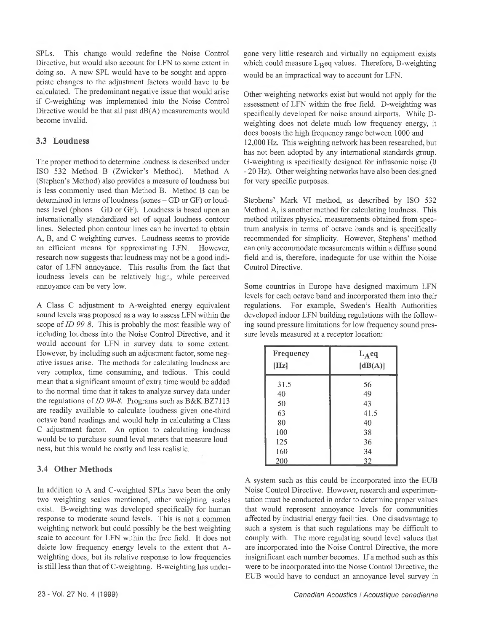SPLs. This change would redefine the Noise Control Directive, but would also account for LFN to some extent in doing so. A new SPL would have to be sought and appropriate changes to the adjustment factors would have to be calculated. The predominant negative issue that would arise if C-weighting was implemented into the Noise Control Directive would be that all past dB(A) measurements would become invalid.

#### **3.3 Loudness**

The proper method to determine loudness is described under ISO 532 Method B (Zwicker's Method). Method A (Stephen's Method) also provides a measure of loudness but is less commonly used than Method B. Method B can be determined in terms of loudness (sones – GD or GF) or loudness level (phons - GD or GF). Loudness is based upon an internationally standardized set of equal loudness contour lines. Selected phon contour lines can be inverted to obtain A, B, and C weighting curves. Loudness seems to provide an efficient means for approximating LFN. However, research now suggests that loudness may not be a good indicator of LFN annoyance. This results from the fact that loudness levels can be relatively high, while perceived annoyance can be very low.

A Class C adjustment to A-weighted energy equivalent sound levels was proposed as a way to assess LFN within the scope of *ID 99-8.* This is probably the most feasible way of including loudness into the Noise Control Directive, and it would account for LFN in survey data to some extent. However, by including such an adjustment factor, some negative issues arise. The methods for calculating loudness are very complex, time consuming, and tedious. This could mean that a significant amount of extra time would be added to the normal time that it takes to analyze survey data under the regulations of *ID 99-8.* Programs such as B&K BZ7113 are readily available to calculate loudness given one-third octave band readings and would help in calculating a Class C adjustment factor. An option to calculating loudness would be to purchase sound level meters that measure loudness, but this would be costly and less realistic.

#### **3.4 Other Methods**

In addition to A and C-weighted SPLs have been the only two weighting scales mentioned, other weighting scales exist. B-weighting was developed specifically for human response to moderate sound levels. This is not a common weighting network but could possibly be the best weighting scale to account for LFN within the free field. It does not delete low frequency energy levels to the extent that Aweighting does, but its relative response to low frequencies is still less than that of C-weighting. B-weighting has undergone very little research and virtually no equipment exists which could measure  $L_R$ eq values. Therefore, B-weighting would be an impractical way to account for LFN.

Other weighting networks exist but would not apply for the assessment of LFN within the free field. D-weighting was specifically developed for noise around airports. While Dweighting does not delete much low frequency energy, it does boosts the high frequency range between 1000 and 12,000 Hz. This weighting network has been researched, but has not been adopted by any international standards group. G-weighting is specifically designed for infrasonic noise (0 - 20 Hz). Other weighting networks have also been designed for very specific purposes.

Stephens' Mark VI method, as described by ISO 532 Method A, is another method for calculating loudness. This method utilizes physical measurements obtained from spectrum analysis in terms of octave bands and is specifically recommended for simplicity. However, Stephens' method can only accommodate measurements within a diffuse sound field and is, therefore, inadequate for use within the Noise Control Directive.

Some countries in Europe have designed maximum LFN levels for each octave band and incorporated them into their regulations. For example, Sweden's Health Authorities developed indoor LFN building regulations with the following sound pressure limitations for low frequency sound pressure levels measured at a receptor location:

| Frequency<br>[Hz] | $L_A$ eq<br>[dB(A)] |
|-------------------|---------------------|
| 31.5              | 56                  |
| 40                | 49                  |
| 50                | 43                  |
| 63                | 41.5                |
| 80                | 40                  |
| 100               | 38                  |
| 125               | 36                  |
| 160               | 34                  |
| 200               | 32                  |

A system such as this could be incorporated into the EUB Noise Control Directive. However, research and experimentation must be conducted in order to determine proper values that would represent annoyance levels for communities affected by industrial energy facilities. One disadvantage to such a system is that such regulations may be difficult to comply with. The more regulating sound level values that are incorporated into the Noise Control Directive, the more insignificant each number becomes. If a method such as this were to be incorporated into the Noise Control Directive, the EUB would have to conduct an annoyance level survey in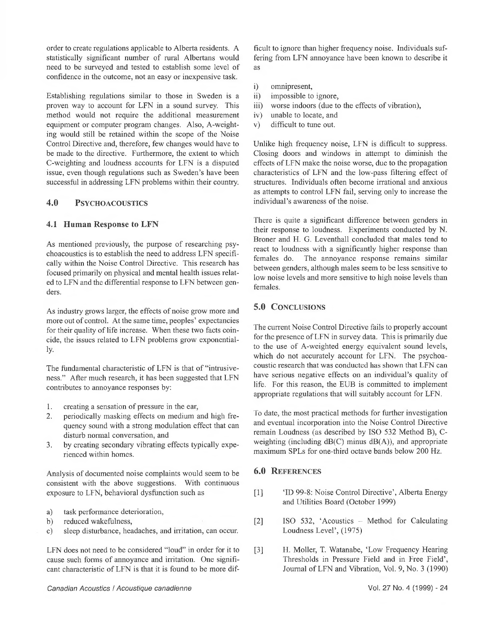order to create regulations applicable to Alberta residents. A statistically significant number of rural Albertans would need to be surveyed and tested to establish some level of confidence in the outcome, not an easy or inexpensive task.

Establishing regulations similar to those in Sweden is a proven way to account for LFN in a sound survey. This method would not require the additional measurement equipment or computer program changes. Also, A-weighting would still be retained within the scope of the Noise Control Directive and, therefore, few changes would have to be made to the directive. Furthermore, the extent to which C-weighting and loudness accounts for LFN is a disputed issue, even though regulations such as Sweden's have been successful in addressing LFN problems within their country.

# **4.0 PSYCHOACOUSTICS**

#### **4.1 Human Response to LFN**

As mentioned previously, the purpose of researching psychoacoustics is to establish the need to address LFN specifically within the Noise Control Directive. This research has focused primarily on physical and mental health issues related to LFN and the differential response to LFN between genders.

As industry grows larger, the effects of noise grow more and more out of control. At the same time, peoples' expectancies for their quality of life increase. When these two facts coincide, the issues related to LFN problems grow exponentially-

The fundamental characteristic of LFN is that of "intrusiveness." After much research, it has been suggested that LFN contributes to annoyance responses by:

- 1. creating a sensation of pressure in the ear,
- 2. periodically masking effects on medium and high frequency sound with a strong modulation effect that can disturb normal conversation, and
- 3. by creating secondary vibrating effects typically experienced within homes.

Analysis of documented noise complaints would seem to be consistent with the above suggestions. With continuous exposure to LFN, behavioral dysfunction such as

- a) task performance deterioration,
- b) reduced wakefulness,
- c) sleep disturbance, headaches, and irritation, can occur.

LFN does not need to be considered "loud" in order for it to cause such forms of annoyance and irritation. One significant characteristic of LFN is that it is found to be more difficult to ignore than higher frequency noise. Individuals suffering from LFN annoyance have been known to describe it as

- i) omnipresent,
- ii) impossible to ignore,
- iii) worse indoors (due to the effects of vibration),
- iv) unable to locate, and
- v) difficult to tune out.

Unlike high frequency noise, LFN is difficult to suppress. Closing doors and windows in attempt to diminish the effects of LFN make the noise worse, due to the propagation characteristics of LFN and the low-pass filtering effect of structures. Individuals often become irrational and anxious as attempts to control LFN fail, serving only to increase the individual's awareness of the noise.

There is quite a significant difference between genders in their response to loudness. Experiments conducted by N. Broner and H. G. Leventhall concluded that males tend to react to loudness with a significantly higher response than females do. The annoyance response remains similar between genders, although males seem to be less sensitive to low noise levels and more sensitive to high noise levels than females.

# **5.0 CONCLUSIONS**

The current Noise Control Directive fails to properly account for the presence of LFN in survey data. This is primarily due to the use of A-weighted energy equivalent sound levels, which do not accurately account for LFN. The psychoacoustic research that was conducted has shown that LFN can have serious negative effects on an individual's quality of life. For this reason, the EUB is committed to implement appropriate regulations that will suitably account for LFN.

To date, the most practical methods for further investigation and eventual incorporation into the Noise Control Directive remain Loudness (as described by ISO 532 Method B), Cweighting (including dB(C) minus dB(A)), and appropriate maximum SPLs for one-third octave bands below 200 Hz.

## **6.0 REFERENCES**

- [1] 'ID 99-8: Noise Control Directive', Alberta Energy and Utilities Board (October 1999)
- [2] ISO 532, 'Acoustics Method for Calculating Loudness Level', (1975)
- [3] H. Moller, T. Watanabe, 'Low Frequency Hearing Thresholds in Pressure Field and in Free Field', Journal of LFN and Vibration, Vol. 9, No. 3 (1990)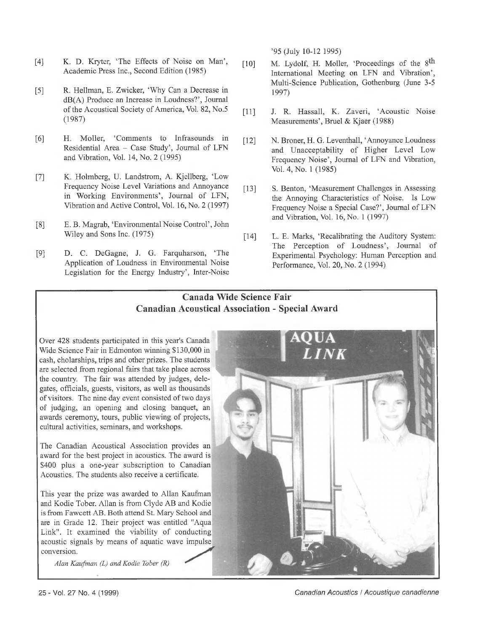- [4] K. D. Kryter, 'The Effects of Noise on Man', Academic Press Inc., Second Edition (1985)
- [5] R. Heilman, E. Zwicker, 'Why Can a Decrease in dB(A) Produce an Increase in Loudness?', Journal of the Acoustical Society of America, Vol. 82, No.5 (1987)
- [6] H. Moller, 'Comments to Infrasounds in Residential Area - Case Study', Journal of LFN and Vibration, Vol. 14, No. 2 (1995)
- [7] K. Holmberg, U. Landstrom, A. Kjellberg, 'Low Frequency Noise Level Variations and Annoyance in Working Environments', Journal of LFN, Vibration and Active Control, Vol. 16, No. 2 (1997)
- [8] E. B. Magrab, 'Environmental Noise Control', John Wiley and Sons Inc. (1975)
- [9] D. C. DeGagne, J. G. Farquharson, 'The Application of Loudness in Environmental Noise Legislation for the Energy Industry', Inter-Noise

'95 (July 10-12 1995)

- [10] M. Lydolf, H. Moller, 'Proceedings of the  $8<sup>th</sup>$ International Meeting on LFN and Vibration', Multi-Science Publication, Gothenburg (June 3-5 1997)
- [11] J. R. Hassall, K. Zaveri, 'Acoustic Noise Measurements', Bruel & Kjaer (1988)
- [12] N. Broner, H. G. Leventhall, 'Annoyance Loudness and Unacceptability of Higher Level Low Frequency Noise', Journal of LFN and Vibration, Vol. 4, No. 1 (1985)
- [13] S. Benton, 'Measurement Challenges in Assessing the Annoying Characteristics of Noise. Is Low Frequency Noise a Special Case?', Journal of LFN and Vibration, Vol. 16, No. 1 (1997)
- [14] L. E. Marks, 'Recalibrating the Auditory System: The Perception of Loudness', Journal of Experimental Psychology: Human Perception and Performance, Vol. 20, No. 2 (1994)

# **Canada Wide Science Fair Canadian Acoustical Association - Special Award**

Over 428 students participated in this year's Canada Wide Science Fair in Edmonton winning \$130,000 in cash, cholarships, trips and other prizes. The students are selected from regional fairs that take place across the country. The fair was attended by judges, delegates, officials, guests, visitors, as well as thousands of visitors. The nine day event consisted of two days of judging, an opening and closing banquet, an awards ceremony, tours, public viewing of projects, cultural activities, seminars, and workshops.

The Canadian Acoustical Association provides an award for the best project in acoustics. The award is \$400 plus a one-year subscription to Canadian Acoustics. The students also receive a certificate.

This year the prize was awarded to Allan Kaufman and Kodie Tober. Allan is from Clyde AB and Kodie is from Fawcett AB. Both attend St. Mary School and are in Grade 12. Their project was entitled "Aqua Link". It examined the viability of conducting acoustic signals by means of aquatic wave impulse conversion.

*Alan Kaufman (L) and Kodie Tober (R)*